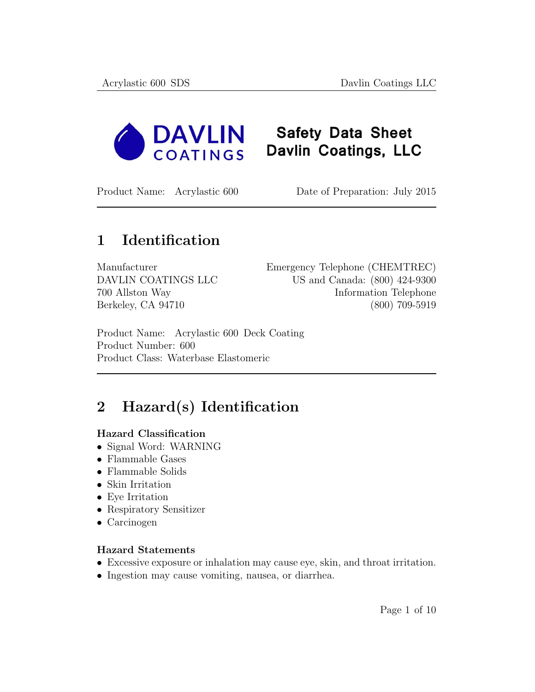

# **Safety Data Sheet** Davlin Coatings, LLC

Product Name: Acrylastic 600 Date of Preparation: July 2015

### 1 Identification

| Manufacturer        | Emergency Telephone (CHEMTREC) |
|---------------------|--------------------------------|
| DAVLIN COATINGS LLC | US and Canada: (800) 424-9300  |
| 700 Allston Way     | Information Telephone          |
| Berkeley, CA 94710  | $(800)$ 709-5919               |

Product Name: Acrylastic 600 Deck Coating Product Number: 600 Product Class: Waterbase Elastomeric

# 2 Hazard(s) Identification

#### Hazard Classification

- Signal Word: WARNING
- Flammable Gases
- Flammable Solids
- Skin Irritation
- Eye Irritation
- Respiratory Sensitizer
- Carcinogen

#### Hazard Statements

- Excessive exposure or inhalation may cause eye, skin, and throat irritation.
- Ingestion may cause vomiting, nausea, or diarrhea.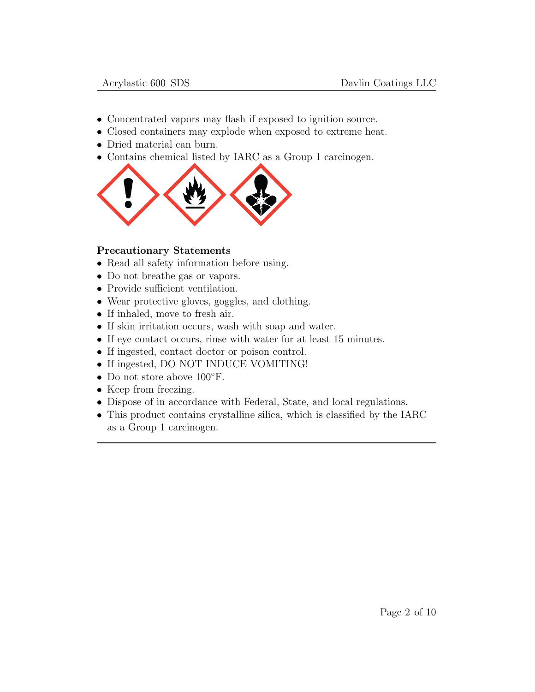- Concentrated vapors may flash if exposed to ignition source.
- Closed containers may explode when exposed to extreme heat.
- Dried material can burn.
- Contains chemical listed by IARC as a Group 1 carcinogen.



#### Precautionary Statements

- Read all safety information before using.
- Do not breathe gas or vapors.
- Provide sufficient ventilation.
- Wear protective gloves, goggles, and clothing.
- If inhaled, move to fresh air.
- If skin irritation occurs, wash with soap and water.
- If eye contact occurs, rinse with water for at least 15 minutes.
- If ingested, contact doctor or poison control.
- If ingested, DO NOT INDUCE VOMITING!
- Do not store above 100◦F.
- Keep from freezing.
- Dispose of in accordance with Federal, State, and local regulations.
- This product contains crystalline silica, which is classified by the IARC as a Group 1 carcinogen.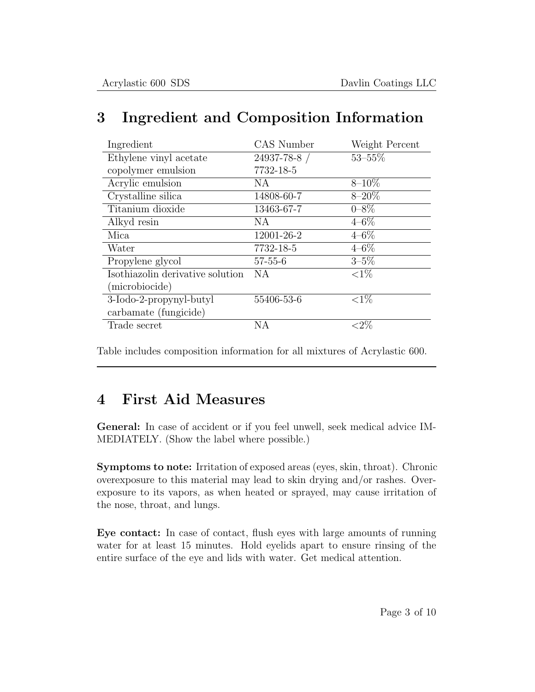| Ingredient                       | CAS Number    | Weight Percent |
|----------------------------------|---------------|----------------|
| Ethylene vinyl acetate           | 24937-78-8 /  | $53 - 55\%$    |
| copolymer emulsion               | 7732-18-5     |                |
| Acrylic emulsion                 | NA            | $8 - 10\%$     |
| Crystalline silica               | 14808-60-7    | $8 - 20\%$     |
| Titanium dioxide                 | 13463-67-7    | $0 - 8\%$      |
| Alkyd resin                      | NA            | $4 - 6\%$      |
| Mica                             | 12001-26-2    | $4 - 6\%$      |
| Water                            | 7732-18-5     | $4 - 6\%$      |
| Propylene glycol                 | $57 - 55 - 6$ | $3 - 5\%$      |
| Isothiazolin derivative solution | NA            | ${<}1\%$       |
| (microbiocide)                   |               |                |
| 3-Iodo-2-propynyl-butyl          | 55406-53-6    | ${<}1\%$       |
| carbamate (fungicide)            |               |                |
| Trade secret                     | NA            | ${<}2\%$       |

## 3 Ingredient and Composition Information

Table includes composition information for all mixtures of Acrylastic 600.

## 4 First Aid Measures

General: In case of accident or if you feel unwell, seek medical advice IM-MEDIATELY. (Show the label where possible.)

Symptoms to note: Irritation of exposed areas (eyes, skin, throat). Chronic overexposure to this material may lead to skin drying and/or rashes. Overexposure to its vapors, as when heated or sprayed, may cause irritation of the nose, throat, and lungs.

Eye contact: In case of contact, flush eyes with large amounts of running water for at least 15 minutes. Hold eyelids apart to ensure rinsing of the entire surface of the eye and lids with water. Get medical attention.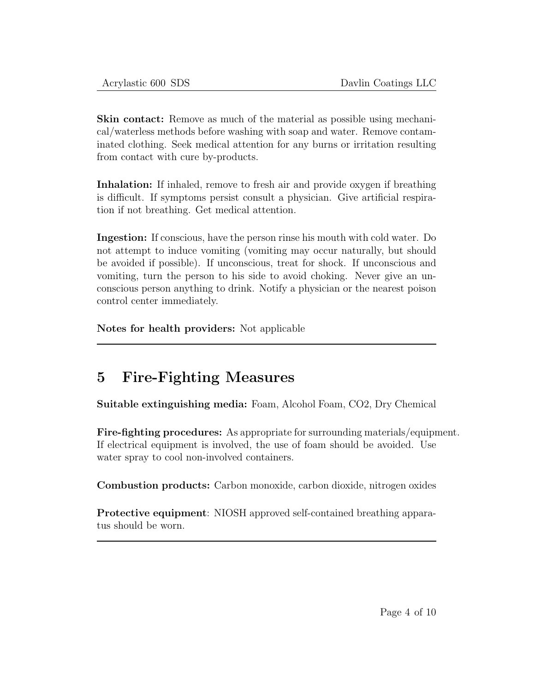Skin contact: Remove as much of the material as possible using mechanical/waterless methods before washing with soap and water. Remove contaminated clothing. Seek medical attention for any burns or irritation resulting from contact with cure by-products.

Inhalation: If inhaled, remove to fresh air and provide oxygen if breathing is difficult. If symptoms persist consult a physician. Give artificial respiration if not breathing. Get medical attention.

Ingestion: If conscious, have the person rinse his mouth with cold water. Do not attempt to induce vomiting (vomiting may occur naturally, but should be avoided if possible). If unconscious, treat for shock. If unconscious and vomiting, turn the person to his side to avoid choking. Never give an unconscious person anything to drink. Notify a physician or the nearest poison control center immediately.

Notes for health providers: Not applicable

## 5 Fire-Fighting Measures

Suitable extinguishing media: Foam, Alcohol Foam, CO2, Dry Chemical

Fire-fighting procedures: As appropriate for surrounding materials/equipment. If electrical equipment is involved, the use of foam should be avoided. Use water spray to cool non-involved containers.

Combustion products: Carbon monoxide, carbon dioxide, nitrogen oxides

Protective equipment: NIOSH approved self-contained breathing apparatus should be worn.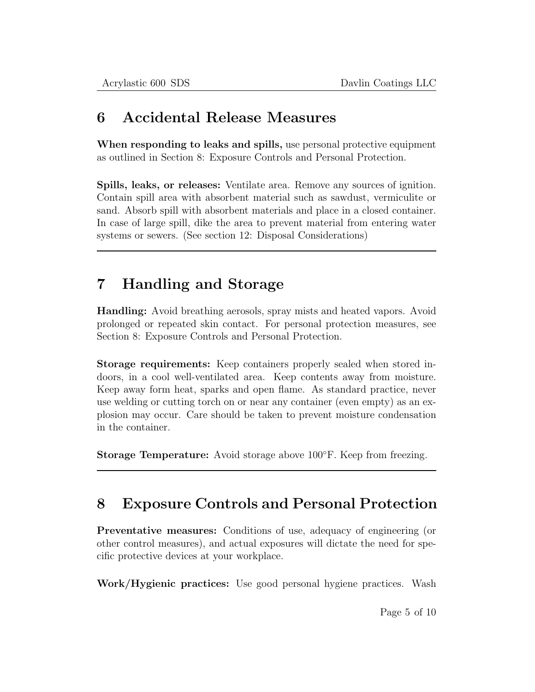#### 6 Accidental Release Measures

When responding to leaks and spills, use personal protective equipment as outlined in Section 8: Exposure Controls and Personal Protection.

Spills, leaks, or releases: Ventilate area. Remove any sources of ignition. Contain spill area with absorbent material such as sawdust, vermiculite or sand. Absorb spill with absorbent materials and place in a closed container. In case of large spill, dike the area to prevent material from entering water systems or sewers. (See section 12: Disposal Considerations)

# 7 Handling and Storage

Handling: Avoid breathing aerosols, spray mists and heated vapors. Avoid prolonged or repeated skin contact. For personal protection measures, see Section 8: Exposure Controls and Personal Protection.

Storage requirements: Keep containers properly sealed when stored indoors, in a cool well-ventilated area. Keep contents away from moisture. Keep away form heat, sparks and open flame. As standard practice, never use welding or cutting torch on or near any container (even empty) as an explosion may occur. Care should be taken to prevent moisture condensation in the container.

Storage Temperature: Avoid storage above 100◦F. Keep from freezing.

## 8 Exposure Controls and Personal Protection

Preventative measures: Conditions of use, adequacy of engineering (or other control measures), and actual exposures will dictate the need for specific protective devices at your workplace.

Work/Hygienic practices: Use good personal hygiene practices. Wash

Page 5 of 10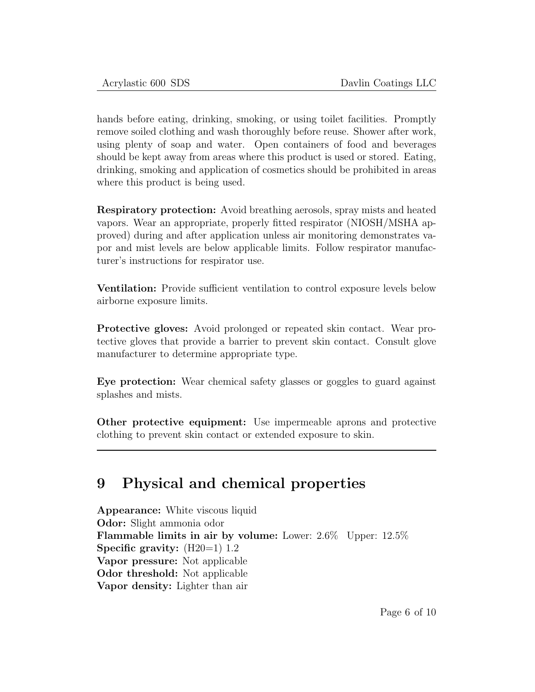hands before eating, drinking, smoking, or using toilet facilities. Promptly remove soiled clothing and wash thoroughly before reuse. Shower after work, using plenty of soap and water. Open containers of food and beverages should be kept away from areas where this product is used or stored. Eating, drinking, smoking and application of cosmetics should be prohibited in areas where this product is being used.

Respiratory protection: Avoid breathing aerosols, spray mists and heated vapors. Wear an appropriate, properly fitted respirator (NIOSH/MSHA approved) during and after application unless air monitoring demonstrates vapor and mist levels are below applicable limits. Follow respirator manufacturer's instructions for respirator use.

Ventilation: Provide sufficient ventilation to control exposure levels below airborne exposure limits.

Protective gloves: Avoid prolonged or repeated skin contact. Wear protective gloves that provide a barrier to prevent skin contact. Consult glove manufacturer to determine appropriate type.

Eye protection: Wear chemical safety glasses or goggles to guard against splashes and mists.

Other protective equipment: Use impermeable aprons and protective clothing to prevent skin contact or extended exposure to skin.

### 9 Physical and chemical properties

Appearance: White viscous liquid Odor: Slight ammonia odor Flammable limits in air by volume: Lower: 2.6% Upper: 12.5% Specific gravity:  $(H20=1)$  1.2 Vapor pressure: Not applicable Odor threshold: Not applicable Vapor density: Lighter than air

Page 6 of 10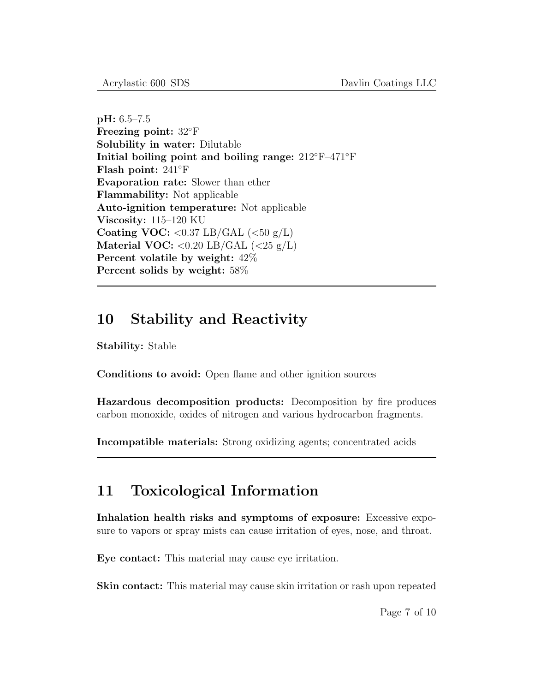pH: 6.5–7.5 Freezing point: 32◦F Solubility in water: Dilutable Initial boiling point and boiling range: 212◦F–471◦F Flash point: 241◦F Evaporation rate: Slower than ether Flammability: Not applicable Auto-ignition temperature: Not applicable Viscosity: 115–120 KU Coating VOC:  $< 0.37$  LB/GAL  $(< 50 \text{ g/L})$ Material VOC:  $< 0.20$  LB/GAL  $(< 25 \text{ g/L})$ Percent volatile by weight: 42% Percent solids by weight: 58%

#### 10 Stability and Reactivity

Stability: Stable

Conditions to avoid: Open flame and other ignition sources

Hazardous decomposition products: Decomposition by fire produces carbon monoxide, oxides of nitrogen and various hydrocarbon fragments.

Incompatible materials: Strong oxidizing agents; concentrated acids

### 11 Toxicological Information

Inhalation health risks and symptoms of exposure: Excessive exposure to vapors or spray mists can cause irritation of eyes, nose, and throat.

Eye contact: This material may cause eye irritation.

Skin contact: This material may cause skin irritation or rash upon repeated

Page 7 of 10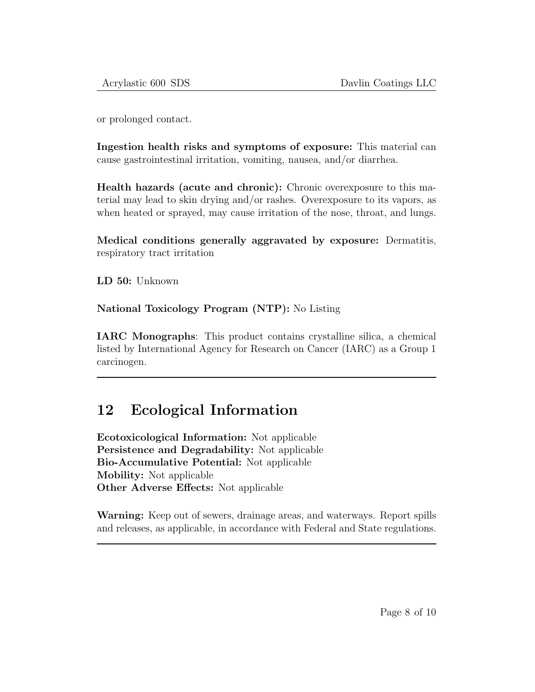or prolonged contact.

Ingestion health risks and symptoms of exposure: This material can cause gastrointestinal irritation, vomiting, nausea, and/or diarrhea.

Health hazards (acute and chronic): Chronic overexposure to this material may lead to skin drying and/or rashes. Overexposure to its vapors, as when heated or sprayed, may cause irritation of the nose, throat, and lungs.

Medical conditions generally aggravated by exposure: Dermatitis, respiratory tract irritation

LD 50: Unknown

National Toxicology Program (NTP): No Listing

IARC Monographs: This product contains crystalline silica, a chemical listed by International Agency for Research on Cancer (IARC) as a Group 1 carcinogen.

### 12 Ecological Information

Ecotoxicological Information: Not applicable Persistence and Degradability: Not applicable Bio-Accumulative Potential: Not applicable Mobility: Not applicable Other Adverse Effects: Not applicable

Warning: Keep out of sewers, drainage areas, and waterways. Report spills and releases, as applicable, in accordance with Federal and State regulations.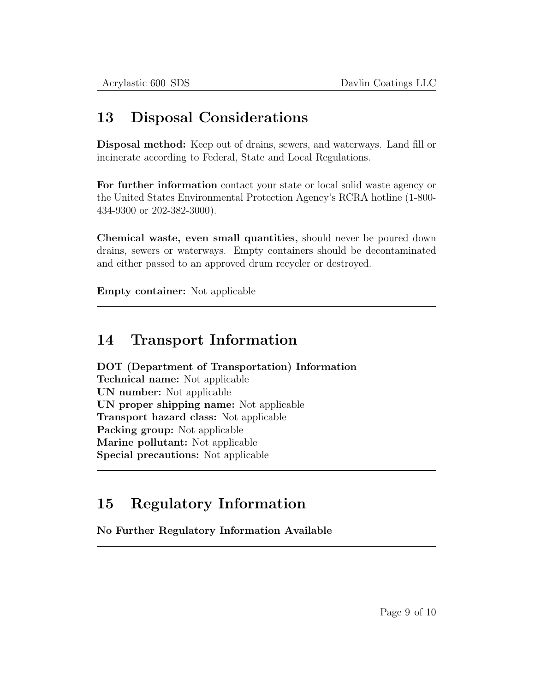### 13 Disposal Considerations

Disposal method: Keep out of drains, sewers, and waterways. Land fill or incinerate according to Federal, State and Local Regulations.

For further information contact your state or local solid waste agency or the United States Environmental Protection Agency's RCRA hotline (1-800- 434-9300 or 202-382-3000).

Chemical waste, even small quantities, should never be poured down drains, sewers or waterways. Empty containers should be decontaminated and either passed to an approved drum recycler or destroyed.

Empty container: Not applicable

#### 14 Transport Information

DOT (Department of Transportation) Information Technical name: Not applicable UN number: Not applicable UN proper shipping name: Not applicable Transport hazard class: Not applicable Packing group: Not applicable Marine pollutant: Not applicable Special precautions: Not applicable

## 15 Regulatory Information

No Further Regulatory Information Available